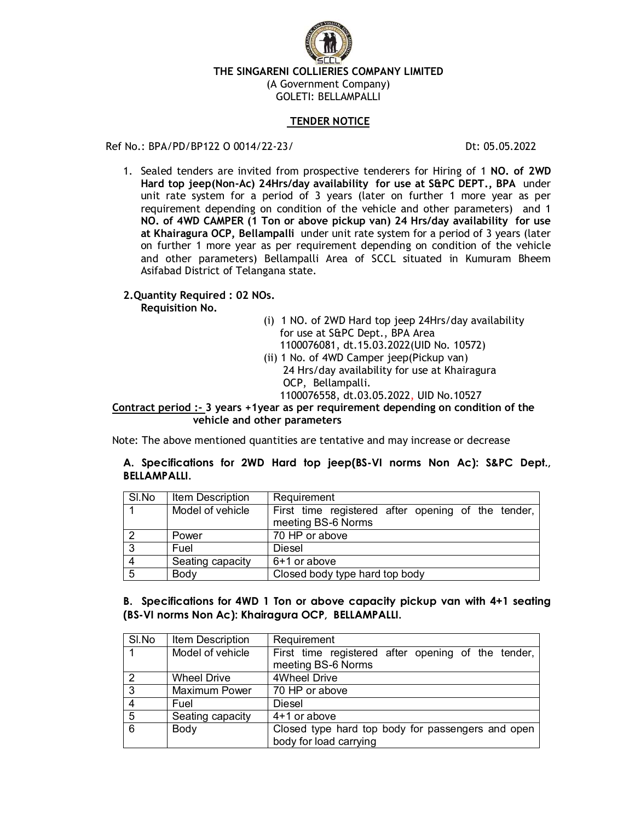

#### **TENDER NOTICE**

#### Ref No.: BPA/PD/BP122 O 0014/22-23/ Dt: 05.05.2022

1. Sealed tenders are invited from prospective tenderers for Hiring of 1 **NO. of 2WD Hard top jeep(Non-Ac) 24Hrs/day availability for use at S&PC DEPT., BPA** under unit rate system for a period of 3 years (later on further 1 more year as per requirement depending on condition of the vehicle and other parameters) and 1 **NO. of 4WD CAMPER (1 Ton or above pickup van) 24 Hrs/day availability for use at Khairagura OCP, Bellampalli** under unit rate system for a period of 3 years (later on further 1 more year as per requirement depending on condition of the vehicle and other parameters) Bellampalli Area of SCCL situated in Kumuram Bheem Asifabad District of Telangana state.

## **2.Quantity Required : 02 NOs.**

**Requisition No.** 

- (i) 1 NO. of 2WD Hard top jeep 24Hrs/day availability for use at S&PC Dept., BPA Area 1100076081, dt.15.03.2022(UID No. 10572)
- (ii) 1 No. of 4WD Camper jeep(Pickup van) 24 Hrs/day availability for use at Khairagura OCP, Bellampalli.
	- 1100076558, dt.03.05.2022, UID No.10527

 **Contract period :- 3 years +1year as per requirement depending on condition of the vehicle and other parameters**

Note: The above mentioned quantities are tentative and may increase or decrease

## **A. Specifications for 2WD Hard top jeep(BS-VI norms Non Ac): S&PC Dept., BELLAMPALLI.**

| SI.No          | Item Description | Requirement                                                              |
|----------------|------------------|--------------------------------------------------------------------------|
|                | Model of vehicle | First time registered after opening of the tender,<br>meeting BS-6 Norms |
| $\mathcal{P}$  | Power            | 70 HP or above                                                           |
| 3              | Fuel             | Diesel                                                                   |
| $\overline{4}$ | Seating capacity | 6+1 or above                                                             |
| 5              | Body             | Closed body type hard top body                                           |

## **B. Specifications for 4WD 1 Ton or above capacity pickup van with 4+1 seating (BS-VI norms Non Ac): Khairagura OCP, BELLAMPALLI.**

| SI.No          | Item Description   | Requirement                                                                 |
|----------------|--------------------|-----------------------------------------------------------------------------|
| $+1$           | Model of vehicle   | First time registered after opening of the tender,<br>meeting BS-6 Norms    |
| $\mathcal{P}$  | <b>Wheel Drive</b> | 4Wheel Drive                                                                |
| 3              | Maximum Power      | 70 HP or above                                                              |
| $\overline{4}$ | Fuel               | Diesel                                                                      |
| 5              | Seating capacity   | 4+1 or above                                                                |
| 6              | Body               | Closed type hard top body for passengers and open<br>body for load carrying |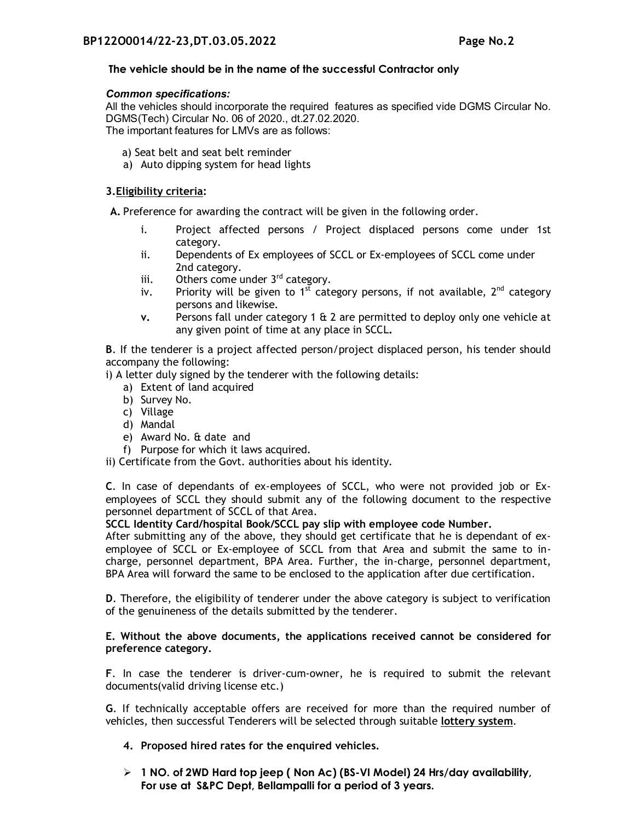## **The vehicle should be in the name of the successful Contractor only**

#### *Common specifications:*

All the vehicles should incorporate the required features as specified vide DGMS Circular No. DGMS(Tech) Circular No. 06 of 2020., dt.27.02.2020. The important features for LMVs are as follows:

- a) Seat belt and seat belt reminder
- a) Auto dipping system for head lights

## **3.Eligibility criteria:**

**A.** Preference for awarding the contract will be given in the following order.

- i. Project affected persons / Project displaced persons come under 1st category.
- ii. Dependents of Ex employees of SCCL or Ex-employees of SCCL come under 2nd category.
- iii. Others come under  $3<sup>rd</sup>$  category.
- iv. Priority will be given to 1st category persons, if not available,  $2^{nd}$  category persons and likewise.
- **v.** Persons fall under category 1 & 2 are permitted to deploy only one vehicle at any given point of time at any place in SCCL**.**

**B**. If the tenderer is a project affected person/project displaced person, his tender should accompany the following:

i) A letter duly signed by the tenderer with the following details:

- a) Extent of land acquired
- b) Survey No.
- c) Village
- d) Mandal
- e) Award No. & date and
- f) Purpose for which it laws acquired.

ii) Certificate from the Govt. authorities about his identity.

**C**. In case of dependants of ex-employees of SCCL, who were not provided job or Exemployees of SCCL they should submit any of the following document to the respective personnel department of SCCL of that Area.

**SCCL Identity Card/hospital Book/SCCL pay slip with employee code Number.**

After submitting any of the above, they should get certificate that he is dependant of exemployee of SCCL or Ex-employee of SCCL from that Area and submit the same to incharge, personnel department, BPA Area. Further, the in-charge, personnel department, BPA Area will forward the same to be enclosed to the application after due certification.

**D**. Therefore, the eligibility of tenderer under the above category is subject to verification of the genuineness of the details submitted by the tenderer.

## **E. Without the above documents, the applications received cannot be considered for preference category.**

**F**. In case the tenderer is driver-cum-owner, he is required to submit the relevant documents(valid driving license etc.)

**G**. If technically acceptable offers are received for more than the required number of vehicles, then successful Tenderers will be selected through suitable **lottery system**.

- **4. Proposed hired rates for the enquired vehicles.**
- **1 NO. of 2WD Hard top jeep ( Non Ac) (BS-VI Model) 24 Hrs/day availability, For use at S&PC Dept, Bellampalli for a period of 3 years.**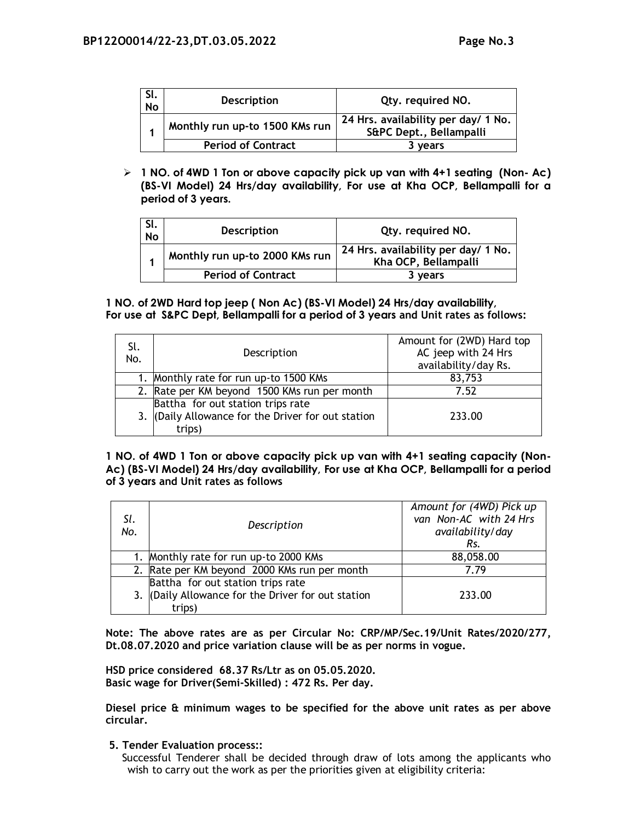| SI.<br><b>No</b> | <b>Description</b>             | Qty. required NO.                                              |
|------------------|--------------------------------|----------------------------------------------------------------|
|                  | Monthly run up-to 1500 KMs run | 24 Hrs. availability per day/ 1 No.<br>S&PC Dept., Bellampalli |
|                  | <b>Period of Contract</b>      | 3 years                                                        |

 **1 NO. of 4WD 1 Ton or above capacity pick up van with 4+1 seating (Non- Ac) (BS-VI Model) 24 Hrs/day availability, For use at Kha OCP, Bellampalli for a period of 3 years.**

| SI.<br><b>No</b> | <b>Description</b>             | Qty. required NO.                                           |
|------------------|--------------------------------|-------------------------------------------------------------|
|                  | Monthly run up-to 2000 KMs run | 24 Hrs. availability per day/ 1 No.<br>Kha OCP, Bellampalli |
|                  | <b>Period of Contract</b>      | 3 years                                                     |

**1 NO. of 2WD Hard top jeep ( Non Ac) (BS-VI Model) 24 Hrs/day availability, For use at S&PC Dept, Bellampalli for a period of 3 years and Unit rates as follows:**

| Sl.<br>No. | Description                                                                                       | Amount for (2WD) Hard top<br>AC jeep with 24 Hrs<br>availability/day Rs. |
|------------|---------------------------------------------------------------------------------------------------|--------------------------------------------------------------------------|
|            | 1. Monthly rate for run up-to 1500 KMs                                                            | 83,753                                                                   |
|            | 2. Rate per KM beyond 1500 KMs run per month                                                      | 7.52                                                                     |
|            | Battha for out station trips rate<br>3. (Daily Allowance for the Driver for out station<br>trips) | 233.00                                                                   |

**1 NO. of 4WD 1 Ton or above capacity pick up van with 4+1 seating capacity (Non-Ac) (BS-VI Model) 24 Hrs/day availability, For use at Kha OCP, Bellampalli for a period of 3 years and Unit rates as follows**

| SI.<br>No. | Description                                                                                       | Amount for (4WD) Pick up<br>van Non-AC with 24 Hrs<br>availability/day<br>Rs. |
|------------|---------------------------------------------------------------------------------------------------|-------------------------------------------------------------------------------|
|            | Monthly rate for run up-to 2000 KMs                                                               | 88,058.00                                                                     |
|            | 2. Rate per KM beyond 2000 KMs run per month                                                      | 7.79                                                                          |
|            | Battha for out station trips rate<br>3. (Daily Allowance for the Driver for out station<br>trips) | 233.00                                                                        |

**Note: The above rates are as per Circular No: CRP/MP/Sec.19/Unit Rates/2020/277, Dt.08.07.2020 and price variation clause will be as per norms in vogue.** 

**HSD price considered 68.37 Rs/Ltr as on 05.05.2020. Basic wage for Driver(Semi-Skilled) : 472 Rs. Per day.**

**Diesel price & minimum wages to be specified for the above unit rates as per above circular.** 

**5. Tender Evaluation process::**

Successful Tenderer shall be decided through draw of lots among the applicants who wish to carry out the work as per the priorities given at eligibility criteria: